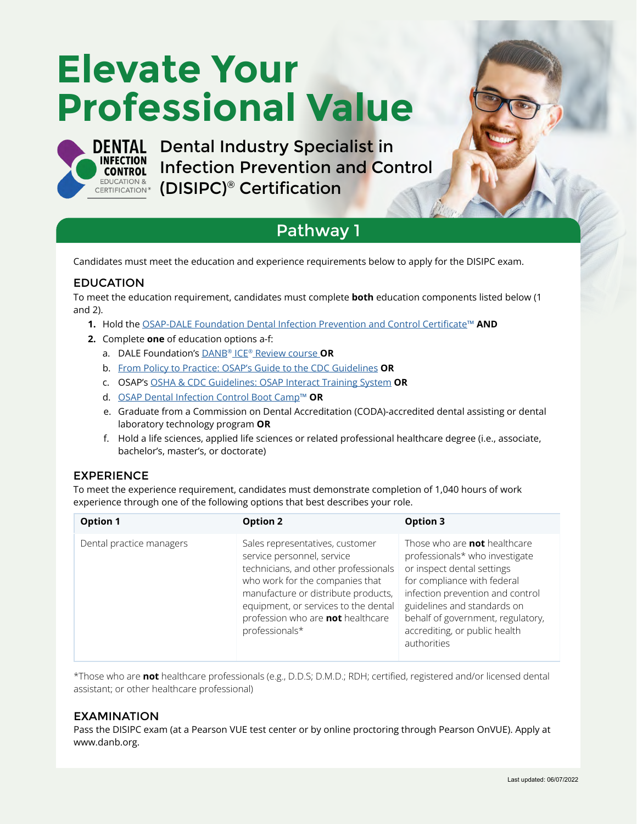# **Elevate Your Professional Value**



DENTAL Dental Industry Specialist in [Infection Prevention and Control](https://dentalinfectioncontrol.org/certification/disipc/)  **CERTIFICATION & [\(DISIPC\)](https://dentalinfectioncontrol.org/certification/disipc/)® Certification** 

### Pathway 1

Candidates must meet the education and experience requirements below to apply for the DISIPC exam.

#### EDUCATION

To meet the education requirement, candidates must complete **both** education components listed below (1 and 2).

- 1. Hold the O[SAP-DALE Foundation Dental Infection Prevention and Control Certificate](https://dentalinfectioncontrol.org/education/)™ AND
- 2. Complete one of education options a-f:
	- a. DALE Foundation's [DANB® ICE® Review course O](https://www.dalefoundation.org/Courses-And-Study-Aids/Product-Catalog-Search/DANB-ICE-Review)R
	- b. [From Policy to Practice: OSAP's Guide to the CDC Guidelines](https://www.osap.org/store/ViewProduct.aspx?id=14472852) OR
	- c. OSAP's [OSHA & CDC Guidelines: OSAP Interact Training System](https://www.osap.org/store/ViewProduct.aspx?id=14472915) OR
	- d. [OSAP Dental Infection Control Boot Camp™](https://www.osap.org/page/2020bootcamp) OR
	- e. Graduate from a Commission on Dental Accreditation (CODA)-accredited dental assisting or dental laboratory technology program OR
	- f. Hold a life sciences, applied life sciences or related professional healthcare degree (i.e., associate, bachelor's, master's, or doctorate)

#### EXPERIENCE

To meet the experience requirement, candidates must demonstrate completion of 1,040 hours of work experience through one of the following options that best describes your role.

| <b>Option 1</b>          | <b>Option 2</b>                                                                                                                                                                                                                                                                | Option 3                                                                                                                                                                                                                                                                                   |
|--------------------------|--------------------------------------------------------------------------------------------------------------------------------------------------------------------------------------------------------------------------------------------------------------------------------|--------------------------------------------------------------------------------------------------------------------------------------------------------------------------------------------------------------------------------------------------------------------------------------------|
| Dental practice managers | Sales representatives, customer<br>service personnel, service<br>technicians, and other professionals<br>who work for the companies that<br>manufacture or distribute products,<br>equipment, or services to the dental<br>profession who are not healthcare<br>professionals* | Those who are <b>not</b> healthcare<br>professionals* who investigate<br>or inspect dental settings<br>for compliance with federal<br>infection prevention and control<br>guidelines and standards on<br>behalf of government, regulatory,<br>accrediting, or public health<br>authorities |

\*Those who are not healthcare professionals (e.g., D.D.S; D.M.D.; RDH; certified, registered and/or licensed dental assistant; or other healthcare professional)

#### EXAMINATION

Pass the DISIPC exam (at a Pearson VUE test center or by online proctoring through Pearson OnVUE). Apply at www.danb.org.